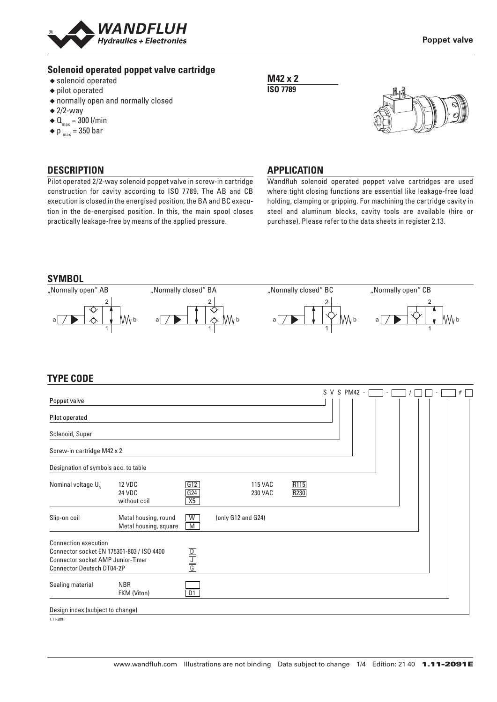

### **Solenoid operated poppet valve cartridge**

- ◆ solenoid operated
- ◆ pilot operated
- ◆ normally open and normally closed
- $\triangleq$  2/2-way
- $\triangleleft \mathbf{Q}_{\text{max}} = 300$  l/min
- $\bullet$  p  $_{max}$  = 350 bar

## **DESCRIPTION**

Pilot operated 2/2-way solenoid poppet valve in screw-in cartridge construction for cavity according to ISO 7789. The AB and CB execution is closed in the energised position, the BA and BC execution in the de-energised position. In this, the main spool closes practically leakage-free by means of the applied pressure.

### **M42 x 2 ISO 7789**



#### **APPLICATION**

Wandfluh solenoid operated poppet valve cartridges are used where tight closing functions are essential like leakage-free load holding, clamping or gripping. For machining the cartridge cavity in steel and aluminum blocks, cavity tools are available (hire or purchase). Please refer to the data sheets in register 2.13.





## **TYPE CODE**

|                                                                                                                    |                                               |                             |                                  |              |  | S V S PM42 - |  |  |  | # |  |
|--------------------------------------------------------------------------------------------------------------------|-----------------------------------------------|-----------------------------|----------------------------------|--------------|--|--------------|--|--|--|---|--|
| Poppet valve                                                                                                       |                                               |                             |                                  |              |  |              |  |  |  |   |  |
| Pilot operated                                                                                                     |                                               |                             |                                  |              |  |              |  |  |  |   |  |
| Solenoid, Super                                                                                                    |                                               |                             |                                  |              |  |              |  |  |  |   |  |
| Screw-in cartridge M42 x 2                                                                                         |                                               |                             |                                  |              |  |              |  |  |  |   |  |
| Designation of symbols acc. to table                                                                               |                                               |                             |                                  |              |  |              |  |  |  |   |  |
| Nominal voltage $U_{N}$                                                                                            | <b>12 VDC</b><br>24 VDC<br>without coil       | G12<br>G24<br>X5            | <b>115 VAC</b><br><b>230 VAC</b> | R115<br>R230 |  |              |  |  |  |   |  |
| Slip-on coil                                                                                                       | Metal housing, round<br>Metal housing, square | W<br>M                      | (only G12 and G24)               |              |  |              |  |  |  |   |  |
| <b>Connection execution</b>                                                                                        |                                               |                             |                                  |              |  |              |  |  |  |   |  |
| Connector socket EN 175301-803 / ISO 4400<br>Connector socket AMP Junior-Timer<br><b>Connector Deutsch DT04-2P</b> |                                               | $\frac{D}{J}$ $\frac{1}{G}$ |                                  |              |  |              |  |  |  |   |  |
| Sealing material                                                                                                   | <b>NBR</b><br>FKM (Viton)                     | D1                          |                                  |              |  |              |  |  |  |   |  |
| Design index (subject to change)                                                                                   |                                               |                             |                                  |              |  |              |  |  |  |   |  |
| 1.11-2091                                                                                                          |                                               |                             |                                  |              |  |              |  |  |  |   |  |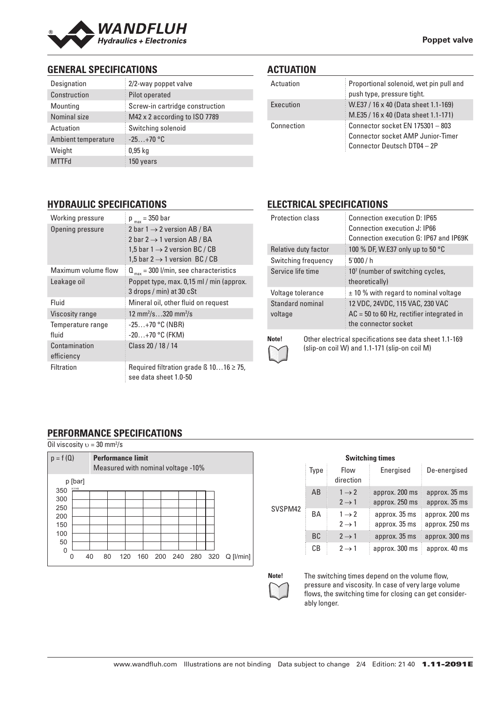

# **GENERAL SPECIFICATIONS**

| Designation         | 2/2-way poppet valve            |
|---------------------|---------------------------------|
| Construction        | Pilot operated                  |
| Mounting            | Screw-in cartridge construction |
| Nominal size        | M42 x 2 according to ISO 7789   |
| Actuation           | Switching solenoid              |
| Ambient temperature | $-25+70$ °C                     |
| Weight              | $0.95$ kg                       |
| <b>MTTFd</b>        | 150 years                       |

## **ACTUATION**

| Actuation  | Proportional solenoid, wet pin pull and<br>push type, pressure tight.                                       |
|------------|-------------------------------------------------------------------------------------------------------------|
| Execution  | W.E37 / 16 x 40 (Data sheet 1.1-169)<br>M.E35 / 16 x 40 (Data sheet 1.1-171)                                |
| Connection | Connector socket EN 175301 - 803<br><b>Connector socket AMP Junior-Timer</b><br>Connector Deutsch DT04 - 2P |

## **HYDRAULIC SPECIFICATIONS**

| Working pressure            | $p_{max} = 350$ bar                                                                                                                                                        |
|-----------------------------|----------------------------------------------------------------------------------------------------------------------------------------------------------------------------|
| Opening pressure            | 2 bar $1 \rightarrow 2$ version AB / BA<br>2 bar 2 $\rightarrow$ 1 version AB / BA<br>1,5 bar $1 \rightarrow 2$ version BC / CB<br>1,5 bar 2 $\rightarrow$ 1 version BC/CB |
| Maximum volume flow         | $Q_{\text{max}}$ = 300 l/min, see characteristics                                                                                                                          |
| Leakage oil                 | Poppet type, max. 0,15 ml / min (approx.<br>3 drops / min) at 30 cSt                                                                                                       |
| Fluid                       | Mineral oil, other fluid on request                                                                                                                                        |
| <b>Viscosity range</b>      | 12 mm <sup>2</sup> /s320 mm <sup>2</sup> /s                                                                                                                                |
| Temperature range<br>fluid  | $-25+70$ °C (NBR)<br>$-20+70$ °C (FKM)                                                                                                                                     |
| Contamination<br>efficiency | Class 20 / 18 / 14                                                                                                                                                         |
| Filtration                  | Required filtration grade $\beta$ 1016 $\geq$ 75,<br>see data sheet 1.0-50                                                                                                 |

# **ELECTRICAL SPECIFICATIONS**

| <b>Protection class</b>     | Connection execution D: IP65<br>Connection execution J: IP66<br>Connection execution G: IP67 and IP69K |
|-----------------------------|--------------------------------------------------------------------------------------------------------|
| Relative duty factor        | 100 % DF, W.E37 only up to 50 °C                                                                       |
| Switching frequency         | 5'000/h                                                                                                |
| Service life time           | 10 <sup>7</sup> (number of switching cycles,<br>theoretically)                                         |
| Voltage tolerance           | $\pm$ 10 % with regard to nominal voltage                                                              |
| Standard nominal<br>voltage | 12 VDC, 24VDC, 115 VAC, 230 VAC<br>$AC = 50$ to 60 Hz, rectifier integrated in<br>the connector socket |
| Note!                       | Other electrical specifications see data sheet 1.1-169                                                 |

(slip-on coil W) and 1.1-171 (slip-on coil M)

# **PERFORMANCE SPECIFICATIONS**

| Oil viscosity $v = 30$ mm <sup>2</sup> /s |         |    |                                                                |     |     |         |  |     |     |             |
|-------------------------------------------|---------|----|----------------------------------------------------------------|-----|-----|---------|--|-----|-----|-------------|
| $p = f(Q)$                                |         |    | <b>Performance limit</b><br>Measured with nominal voltage -10% |     |     |         |  |     |     |             |
|                                           | p [bar] |    |                                                                |     |     |         |  |     |     |             |
| 350                                       | K1149   |    |                                                                |     |     |         |  |     |     |             |
| 300                                       |         |    |                                                                |     |     |         |  |     |     |             |
| 250                                       |         |    |                                                                |     |     |         |  |     |     |             |
| 200                                       |         |    |                                                                |     |     |         |  |     |     |             |
| 150                                       |         |    |                                                                |     |     |         |  |     |     |             |
| 100                                       |         |    |                                                                |     |     |         |  |     |     |             |
| 50                                        |         |    |                                                                |     |     |         |  |     |     |             |
| $\Omega$                                  |         |    |                                                                |     |     |         |  |     |     |             |
|                                           | 40      | 80 |                                                                | 120 | 160 | 200 240 |  | 280 | 320 | $Q$ [l/min] |

|         |           |                                        | <b>Switching times</b>           |                                  |
|---------|-----------|----------------------------------------|----------------------------------|----------------------------------|
|         | Type      | Flow<br>direction                      | Energised                        | De-energised                     |
| SVSPM42 | AB        | $1 \rightarrow 2$<br>$2 \rightarrow 1$ | approx. 200 ms<br>approx. 250 ms | approx. 35 ms<br>approx. 35 ms   |
|         | BA        | $1 \rightarrow 2$<br>$2 \rightarrow 1$ | approx. 35 ms<br>approx. 35 ms   | approx. 200 ms<br>approx. 250 ms |
|         | <b>BC</b> | $2 \rightarrow 1$                      | approx. 35 ms                    | approx. 300 ms                   |
|         | CВ        | $2 \rightarrow 1$                      | approx. 300 ms                   | approx. 40 ms                    |

**Note!** The switching times depend on the volume flow, pressure and viscosity. In case of very large volume flows, the switching time for closing can get considerably longer.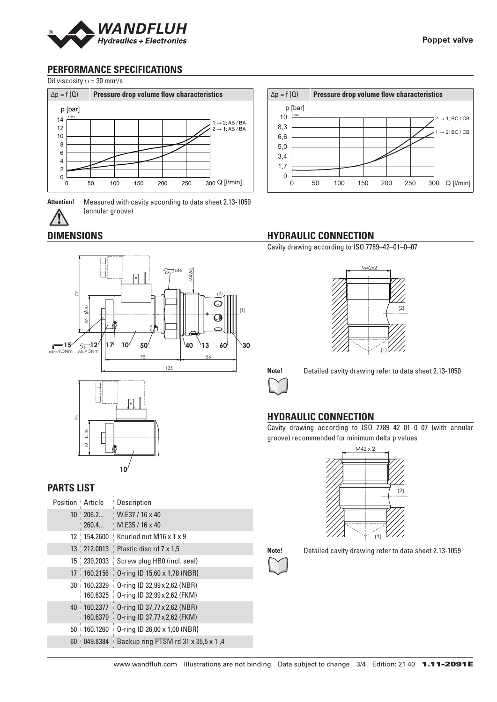

# **PERFORMANCE SPECIFICATIONS**

Oil viscosity  $v = 30$  mm<sup>2</sup>/s



**Attention!** Measured with cavity according to data sheet 2.13-1059 (annular groove)

# **DIMENSIONS**



### **PARTS LIST**

| Position | Article              | Description                                                  |
|----------|----------------------|--------------------------------------------------------------|
| 10       | 206.2<br>260.4       | W.E37 / 16 x 40<br>M.E35 / 16 x 40                           |
| 12       | 154.2600             | Knurled nut M16 x 1 x 9                                      |
| 13       | 212,0013             | Plastic disc rd 7 x 1,5                                      |
| 15       | 239.2033             | Screw plug HBO (incl. seal)                                  |
| 17       | 160.2156             | 0-ring ID 15,60 x 1,78 (NBR)                                 |
| 30       | 160.2329<br>160.6325 | 0-ring ID 32,99 x 2,62 (NBR)<br>0-ring ID 32,99 x 2,62 (FKM) |
| 40       | 160.2377<br>160.6379 | 0-ring ID 37,77 x 2,62 (NBR)<br>0-ring ID 37,77 x 2,62 (FKM) |
| 50       | 160.1260             | 0-ring ID 26,00 x 1,00 (NBR)                                 |
| 60       | 049.8384             | Backup ring PTSM rd 31 x 35,5 x 1,4                          |



# **HYDRAULIC CONNECTION**

Cavity drawing according to ISO 7789–42–01–0–07





**Note!** Detailed cavity drawing refer to data sheet 2.13-1050

# **HYDRAULIC CONNECTION**

Cavity drawing according to ISO 7789–42–01–0–07 (with annular groove) recommended for minimum delta p values





**Note!** Detailed cavity drawing refer to data sheet 2.13-1059